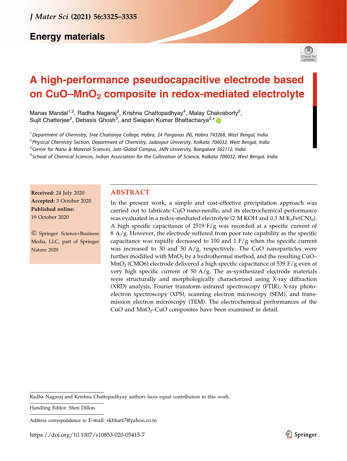# **Energy materials**



# A high-performance pseudocapacitive electrode based on CuO–MnO<sub>2</sub> composite in redox-mediated electrolyte

Manas Mandal<sup>1,2</sup>, Radha Nagaraj<sup>3</sup>, Krishna Chattopadhyay<sup>4</sup>, Malay Chakraborty<sup>2</sup>, Sujit Chatterjee<sup>2</sup>, Debasis Ghosh<sup>3</sup>, and Swapan Kumar Bhattacharya<sup>2,\*</sup>

<sup>1</sup> Department of Chemistry, Sree Chaitanya College, Habra, 24 Parganas (N), Habra 743268, West Bengal, India <sup>2</sup> Physical Chemistry Section, Department of Chemistry, Jadavpur University, Kolkata 700032, West Bengal, India

<sup>3</sup> Centre for Nano & Material Sciences, Jain Global Campus, JAIN University, Bangalore 562112, India

<sup>4</sup> School of Chemical Sciences, Indian Association for the Cultivation of Science, Kolkata 700032, West Bengal, India

Received: 24 July 2020 Accepted: 3 October 2020 Published online: 19 October 2020

- Springer Science+Business Media, LLC, part of Springer Nature 2020

# ABSTRACT

In the present work, a simple and cost-effective precipitation approach was carried out to fabricate CuO nano-needle, and its electrochemical performance was evaluated in a redox-mediated electrolyte (2 M KOH and 0.3 M  $\rm K_3Fe(CN)_6$ ). A high specific capacitance of 2519 F/g was recorded at a specific current of  $8 \text{ A/g}$ . However, the electrode suffered from poor rate capability as the specific capacitance was rapidly decreased to 100 and  $1$  F/g when the specific current was increased to 30 and 50  $A/g$ , respectively. The CuO nanoparticles were further modified with  $MnO<sub>2</sub>$  by a hydrothermal method, and the resulting CuO–  $\text{MnO}_2$  (CMO6) electrode delivered a high specific capacitance of 539 F/g even at very high specific current of  $50 \text{ A/g}$ . The as-synthesized electrode materials were structurally and morphologically characterized using X-ray diffraction (XRD) analysis, Fourier transform infrared spectroscopy (FTIR), X-ray photoelectron spectroscopy (XPS), scanning electron microscopy (SEM), and transmission electron microscopy (TEM). The electrochemical performances of the  $CuO$  and  $MnO<sub>2</sub>$ – $CuO$  composites have been examined in detail.

Radha Nagaraj and Krishna Chattopadhyay authors have equal contribution to this work.

Handling Editor: Shen Dillon.

Address correspondence to E-mail: skbhatt7@yahoo.co.in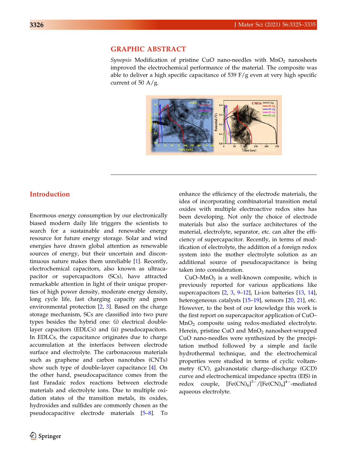# GRAPHIC ABSTRACT

Synopsis Modification of pristine CuO nano-needles with  $MnO<sub>2</sub>$  nanosheets improved the electrochemical performance of the material. The composite was able to deliver a high specific capacitance of 539  $F/g$  even at very high specific current of 50  $A/g$ .



# Introduction

Enormous energy consumption by our electronically biased modern daily life triggers the scientists to search for a sustainable and renewable energy resource for future energy storage. Solar and wind energies have drawn global attention as renewable sources of energy, but their uncertain and discontinuous nature makes them unreliable [\[1](#page-9-0)]. Recently, electrochemical capacitors, also known as ultracapacitor or supercapacitors (SCs), have attracted remarkable attention in light of their unique properties of high power density, moderate energy density, long cycle life, fast charging capacity and green environmental protection [\[2](#page-9-0), [3](#page-9-0)]. Based on the charge storage mechanism, SCs are classified into two pure types besides the hybrid one: (i) electrical doublelayer capacitors (EDLCs) and (ii) pseudocapacitors. In EDLCs, the capacitance originates due to charge accumulation at the interfaces between electrode surface and electrolyte. The carbonaceous materials such as graphene and carbon nanotubes (CNTs) show such type of double-layer capacitance [\[4](#page-9-0)]. On the other hand, pseudocapacitance comes from the fast Faradaic redox reactions between electrode materials and electrolyte ions. Due to multiple oxidation states of the transition metals, its oxides, hydroxides and sulfides are commonly chosen as the pseudocapacitive electrode materials [[5–8\]](#page-9-0). To

enhance the efficiency of the electrode materials, the idea of incorporating combinatorial transition metal oxides with multiple electroactive redox sites has been developing. Not only the choice of electrode materials but also the surface architectures of the material, electrolyte, separator, etc. can alter the efficiency of supercapacitor. Recently, in terms of modification of electrolyte, the addition of a foreign redox system into the mother electrolyte solution as an additional source of pseudocapacitance is being taken into consideration.

 $CuO-MnO<sub>2</sub>$  is a well-known composite, which is previously reported for various applications like supercapacitors [[2,](#page-9-0) [3,](#page-9-0) [9–12](#page-10-0)], Li-ion batteries [\[13](#page-10-0), [14](#page-10-0)], heterogeneous catalysts [\[15–19](#page-10-0)], sensors [\[20](#page-10-0), [21\]](#page-10-0), etc. However, to the best of our knowledge this work is the first report on supercapacitor application of CuO– MnO<sup>2</sup> composite using redox-mediated electrolyte. Herein, pristine CuO and  $MnO<sub>2</sub>$  nanosheet-wrapped CuO nano-needles were synthesized by the precipitation method followed by a simple and facile hydrothermal technique, and the electrochemical properties were studied in terms of cyclic voltammetry (CV), galvanostatic charge–discharge (GCD) curve and electrochemical impedance spectra (EIS) in redox couple,  $3^{-}/$ [Fe(CN)<sub>6</sub>]<sup>4-</sup>-mediated aqueous electrolyte.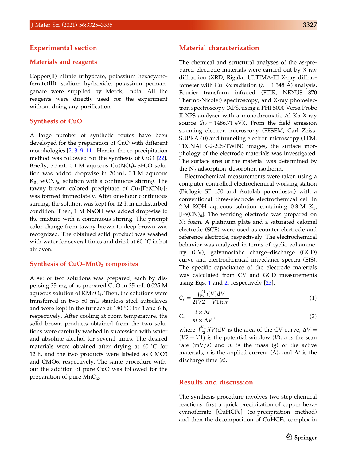#### Experimental section

#### Materials and reagents

Copper(II) nitrate trihydrate, potassium hexacyanoferrate(III), sodium hydroxide, potassium permanganate were supplied by Merck, India. All the reagents were directly used for the experiment without doing any purification.

#### Synthesis of CuO

A large number of synthetic routes have been developed for the preparation of CuO with different morphologies [\[2](#page-9-0), [3,](#page-9-0) [9–11\]](#page-10-0). Herein, the co-precipitation method was followed for the synthesis of CuO [[22\]](#page-10-0). Briefly, 30 mL 0.1 M aqueous  $Cu(NO<sub>3</sub>)<sub>2</sub>·3H<sub>2</sub>O$  solution was added dropwise in 20 mL 0.1 M aqueous  $K_3[Fe(CN)_6]$  solution with a continuous stirring. The tawny brown colored precipitate of  $\text{Cu}_3\text{[Fe(CN)}_{6}\text{]}_2$ was formed immediately. After one-hour continuous stirring, the solution was kept for 12 h in undisturbed condition. Then, 1 M NaOH was added dropwise to the mixture with a continuous stirring. The prompt color change from tawny brown to deep brown was recognized. The obtained solid product was washed with water for several times and dried at 60  $\degree$ C in hot air oven.

#### Synthesis of  $CuO-MnO<sub>2</sub>$  composites

A set of two solutions was prepared, each by dispersing 35 mg of as-prepared CuO in 35 mL 0.025 M aqueous solution of  $\mathsf{KMnO}_4$ . Then, the solutions were transferred in two 50 mL stainless steel autoclaves and were kept in the furnace at 180  $\degree$ C for 3 and 6 h, respectively. After cooling at room temperature, the solid brown products obtained from the two solutions were carefully washed in succession with water and absolute alcohol for several times. The desired materials were obtained after drying at 60  $\degree$ C for 12 h, and the two products were labeled as CMO3 and CMO6, respectively. The same procedure without the addition of pure CuO was followed for the preparation of pure  $MnO<sub>2</sub>$ .

# Material characterization

The chemical and structural analyses of the as-prepared electrode materials were carried out by X-ray diffraction (XRD, Rigaku ULTIMA-III X-ray diffractometer with Cu K $\alpha$  radiation ( $\lambda = 1.548$  Å) analysis, Fourier transform infrared (FTIR, NEXUS 870 Thermo-Nicolet) spectroscopy, and X-ray photoelectron spectroscopy (XPS, using a PHI 5000 Versa Probe II XPS analyzer with a monochromatic Al  $K\alpha$  X-ray source  $(hv = 1486.71 \text{ eV})$ . From the field emission scanning electron microscopy (FESEM, Carl Zeiss-SUPRA 40) and tunneling electron microscopy (TEM, TECNAI G2-20S-TWIN) images, the surface morphology of the electrode materials was investigated. The surface area of the material was determined by the  $N_2$  adsorption–desorption isotherm.

Electrochemical measurements were taken using a computer-controlled electrochemical working station (Biologic SP 150 and Autolab potentiostat) with a conventional three-electrode electrochemical cell in 2 M KOH aqueous solution containing  $0.3$  M K<sub>3</sub>.  $[Fe(CN)<sub>6</sub>]$ . The working electrode was prepared on Ni foam. A platinum plate and a saturated calomel electrode (SCE) were used as counter electrode and reference electrode, respectively. The electrochemical behavior was analyzed in terms of cyclic voltammetry (CV), galvanostatic charge–discharge (GCD) curve and electrochemical impedance spectra (EIS). The specific capacitance of the electrode materials was calculated from CV and GCD measurements using Eqs. 1 and 2, respectively [\[23](#page-10-0)].

$$
C_s = \frac{\int_{V2}^{V1} i(V)dV}{2(V2 - V1)vm}
$$
\n(1)

$$
C_s = \frac{i \times \Delta t}{m \times \Delta V},\tag{2}
$$

where  $\int_{V2}^{V1} i(V) dV$  is the area of the CV curve,  $\Delta V =$  $(V2 - V1)$  is the potential window  $(V)$ , v is the scan rate  $(mV/s)$  and *m* is the mass  $(g)$  of the active materials, *i* is the applied current  $(A)$ , and  $\Delta t$  is the discharge time (s).

#### Results and discussion

The synthesis procedure involves two-step chemical reactions: first a quick precipitation of copper hexacyanoferrate [CuHCFe] (co-precipitation method) and then the decomposition of CuHCFe complex in

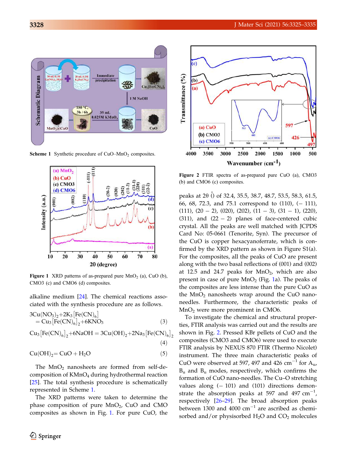

**Scheme 1** Synthetic procedure of  $CuO-MnO<sub>2</sub>$  composites.



**Figure 1** XRD patterns of as-prepared pure  $MnO<sub>2</sub>$  (a), CuO (b), CMO3 (c) and CMO6 (d) composites.

alkaline medium [[24\]](#page-10-0). The chemical reactions associated with the synthesis procedure are as follows.

$$
3Cu(NO3)2+2K3[Fe(CN)6]= Cu3[Fe(CN)6]2+6KNO3
$$
\n(3)

$$
Cu_{3}[Fe(CN)_{6}]_{2}+6NaOH = 3Cu(OH)_{2}+2Na_{3}[Fe(CN)_{6}]_{2}
$$
\n(4)

$$
Cu(OH)_2\!=CuO+H_2O\qquad \qquad (5)
$$

The  $MnO<sub>2</sub>$  nanosheets are formed from self-decomposition of KMnO<sub>4</sub> during hydrothermal reaction [\[25](#page-10-0)]. The total synthesis procedure is schematically represented in Scheme 1.

The XRD patterns were taken to determine the  $phase$  composition of pure  $MnO<sub>2</sub>$ , CuO and CMO composites as shown in Fig. 1. For pure CuO, the



Figure 2 FTIR spectra of as-prepared pure CuO (a), CMO3 (b) and CMO6 (c) composites.

peaks at 2 $\theta$  () of 32.4, 35.5, 38.7, 48.7, 53.5, 58.3, 61.5, 66, 68, 72.3, and 75.1 correspond to  $(110)$ ,  $(-111)$ ,  $(111)$ ,  $(20 - 2)$ ,  $(020)$ ,  $(202)$ ,  $(11 - 3)$ ,  $(31 - 1)$ ,  $(220)$ , (311), and  $(22 - 2)$  planes of face-centered cubic crystal. All the peaks are well matched with JCPDS Card No: 05-0661 (Tenorite, Syn). The precursor of the CuO is copper hexacyanoferrate, which is confirmed by the XRD pattern as shown in Figure S1(a). For the composites, all the peaks of CuO are present along with the two basal reflections of (001) and (002) at 12.5 and 24.7 peaks for  $MnO<sub>2</sub>$ , which are also present in case of pure  $MnO<sub>2</sub>$  (Fig. 1a). The peaks of the composites are less intense than the pure CuO as the  $MnO<sub>2</sub>$  nanosheets wrap around the CuO nanoneedles. Furthermore, the characteristic peaks of  $MnO<sub>2</sub>$  were more prominent in CMO6.

To investigate the chemical and structural properties, FTIR analysis was carried out and the results are shown in Fig. 2. Pressed KBr pellets of CuO and the composites (CMO3 and CMO6) were used to execute FTIR analysis by NEXUS 870 FTIR (Thermo Nicolet) instrument. The three main characteristic peaks of CuO were observed at 597, 497 and 426 cm<sup>-1</sup> for  $A_{u}$ ,  $B_u$  and  $B_u$  modes, respectively, which confirms the formation of CuO nano-needles. The Cu–O stretching values along  $(-101)$  and  $(101)$  directions demonstrate the absorption peaks at 597 and 497  $\text{cm}^{-1}$ , respectively [[26–29\]](#page-10-0). The broad absorption peaks between 1300 and 4000  $\text{cm}^{-1}$  are ascribed as chemisorbed and/or physisorbed  $H_2O$  and  $CO_2$  molecules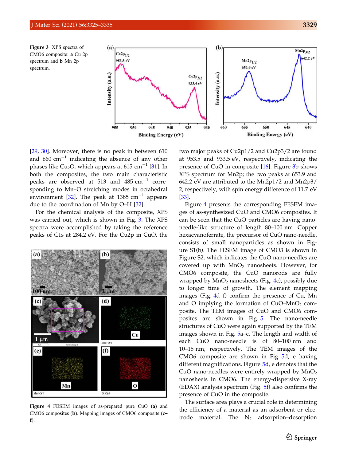Figure 3 XPS spectra of CMO6 composite: a Cu 2p spectrum and b Mn 2p spectrum.



[\[29](#page-10-0), [30\]](#page-10-0). Moreover, there is no peak in between 610 and  $660 \text{ cm}^{-1}$  indicating the absence of any other phases like Cu<sub>2</sub>O, which appears at 615 cm<sup>-1</sup> [[31\]](#page-10-0). In both the composites, the two main characteristic peaks are observed at 513 and  $485 \text{ cm}^{-1}$  corresponding to Mn–O stretching modes in octahedral environment [[32\]](#page-10-0). The peak at 1385  $\text{cm}^{-1}$  appears due to the coordination of Mn by O–H [[32\]](#page-10-0).

For the chemical analysis of the composite, XPS was carried out, which is shown in Fig. 3. The XPS spectra were accomplished by taking the reference peaks of C1s at 284.2 eV. For the Cu2p in CuO, the



Figure 4 FESEM images of as-prepared pure CuO (a) and CMO6 composites (b). Mapping images of CMO6 composite (c– f).

two major peaks of Cu2p1/2 and Cu2p3/2 are found at 953.5 and 933.5 eV, respectively, indicating the presence of CuO in composite [[16\]](#page-10-0). Figure 3b shows XPS spectrum for Mn2p; the two peaks at 653.9 and 642.2 eV are attributed to the Mn2p1/2 and Mn2p3/ 2, respectively, with spin energy difference of 11.7 eV [[33\]](#page-10-0).

Figure 4 presents the corresponding FESEM images of as-synthesized CuO and CMO6 composites. It can be seen that the CuO particles are having nanoneedle-like structure of length 80–100 nm. Copper hexacyanoferrate, the precursor of CuO nano-needle, consists of small nanoparticles as shown in Figure S1(b). The FESEM image of CMO3 is shown in Figure S2, which indicates the CuO nano-needles are covered up with  $MnO<sub>2</sub>$  nanosheets. However, for CMO6 composite, the CuO nanorods are fully wrapped by  $MnO<sub>2</sub>$  nanosheets (Fig. 4c), possibly due to longer time of growth. The element mapping images (Fig. 4d–f) confirm the presence of Cu, Mn and O implying the formation of  $CuO-MnO<sub>2</sub>$  composite. The TEM images of CuO and CMO6 composites are shown in Fig. [5](#page-5-0). The nano-needle structures of CuO were again supported by the TEM images shown in Fig. [5a](#page-5-0)–c. The length and width of each CuO nano-needle is of 80–100 nm and 10–15 nm, respectively. The TEM images of the CMO6 composite are shown in Fig. [5](#page-5-0)d, e having different magnifications. Figure [5](#page-5-0)d, e denotes that the CuO nano-needles were entirely wrapped by  $MnO<sub>2</sub>$ nanosheets in CMO6. The energy-dispersive X-ray (EDAX) analysis spectrum (Fig. [5f](#page-5-0)) also confirms the presence of CuO in the composite.

The surface area plays a crucial role in determining the efficiency of a material as an adsorbent or electrode material. The  $N_2$  adsorption–desorption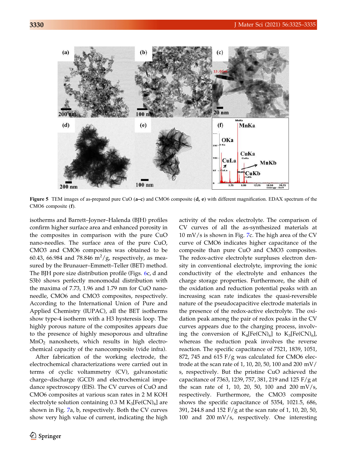<span id="page-5-0"></span>

Figure 5 TEM images of as-prepared pure CuO  $(a-c)$  and CMO6 composite  $(d, e)$  with different magnification. EDAX spectrum of the CMO6 composite (f).

isotherms and Barrett–Joyner–Halenda (BJH) profiles confirm higher surface area and enhanced porosity in the composites in comparison with the pure CuO nano-needles. The surface area of the pure CuO, CMO3 and CMO6 composites was obtained to be 60.43, 66.984 and 78.846  $m^2/g$ , respectively, as measured by the Brunauer–Emmett–Teller (BET) method. The BJH pore size distribution profile (Figs. [6](#page-6-0)c, d and S3b) shows perfectly monomodal distribution with the maxima of 7.73, 1.96 and 1.79 nm for CuO nanoneedle, CMO6 and CMO3 composites, respectively. According to the International Union of Pure and Applied Chemistry (IUPAC), all the BET isotherms show type-4 isotherm with a H3 hysteresis loop. The highly porous nature of the composites appears due to the presence of highly mesoporous and ultrafine  $MnO<sub>2</sub>$  nanosheets, which results in high electrochemical capacity of the nanocomposite (vide infra).

After fabrication of the working electrode, the electrochemical characterizations were carried out in terms of cyclic voltammetry (CV), galvanostatic charge–discharge (GCD) and electrochemical impedance spectroscopy (EIS). The CV curves of CuO and CMO6 composites at various scan rates in 2 M KOH electrolyte solution containing  $0.3 \text{ M K}_3[\text{Fe(CN)}_6]$  are shown in Fig. [7](#page-7-0)a, b, respectively. Both the CV curves show very high value of current, indicating the high

activity of the redox electrolyte. The comparison of CV curves of all the as-synthesized materials at  $10 \text{ mV/s}$  is shown in Fig. [7](#page-7-0)c. The high area of the CV curve of CMO6 indicates higher capacitance of the composite than pure CuO and CMO3 composites. The redox-active electrolyte surpluses electron density in conventional electrolyte, improving the ionic conductivity of the electrolyte and enhances the charge storage properties. Furthermore, the shift of the oxidation and reduction potential peaks with an increasing scan rate indicates the quasi-reversible nature of the pseudocapacitive electrode materials in the presence of the redox-active electrolyte. The oxidation peak among the pair of redox peaks in the CV curves appears due to the charging process, involving the conversion of  $K_4[Fe(CN)_6]$  to  $K_3[Fe(CN)_6]$ , whereas the reduction peak involves the reverse reaction. The specific capacitance of 7521, 1839, 1051, 872, 745 and 615  $F/g$  was calculated for CMO6 electrode at the scan rate of 1, 10, 20, 50, 100 and 200 mV/ s, respectively. But the pristine CuO achieved the capacitance of 7363, 1239, 757, 381, 219 and 125 F/g at the scan rate of 1, 10, 20, 50, 100 and 200 mV/s, respectively. Furthermore, the CMO3 composite shows the specific capacitance of 5354, 1021.5, 686, 391, 244.8 and 152 F/g at the scan rate of 1, 10, 20, 50, 100 and 200 mV/s, respectively. One interesting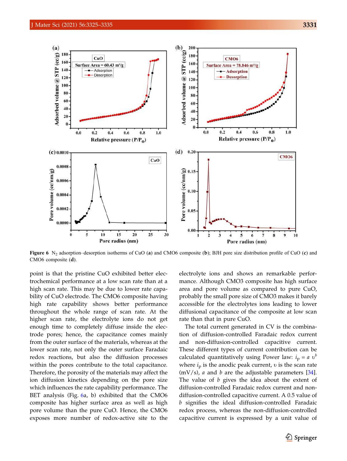<span id="page-6-0"></span>

Figure 6  $N_2$  adsorption–desorption isotherms of CuO (a) and CMO6 composite (b); BJH pore size distribution profile of CuO (c) and CMO6 composite (d).

point is that the pristine CuO exhibited better electrochemical performance at a low scan rate than at a high scan rate. This may be due to lower rate capability of CuO electrode. The CMO6 composite having high rate capability shows better performance throughout the whole range of scan rate. At the higher scan rate, the electrolyte ions do not get enough time to completely diffuse inside the electrode pores; hence, the capacitance comes mainly from the outer surface of the materials, whereas at the lower scan rate, not only the outer surface Faradaic redox reactions, but also the diffusion processes within the pores contribute to the total capacitance. Therefore, the porosity of the materials may affect the ion diffusion kinetics depending on the pore size which influences the rate capability performance. The BET analysis (Fig. 6a, b) exhibited that the CMO6 composite has higher surface area as well as high pore volume than the pure CuO. Hence, the CMO6 exposes more number of redox-active site to the

electrolyte ions and shows an remarkable performance. Although CMO3 composite has high surface area and pore volume as compared to pure CuO, probably the small pore size of CMO3 makes it barely accessible for the electrolytes ions leading to lower diffusional capacitance of the composite at low scan rate than that in pure CuO.

The total current generated in CV is the combination of diffusion-controlled Faradaic redox current and non-diffusion-controlled capacitive current. These different types of current contribution can be calculated quantitatively using Power law:  $i_p = a v^b$ where  $i<sub>p</sub>$  is the anodic peak current,  $v$  is the scan rate  $(mV/s)$ , *a* and *b* are the adjustable parameters [\[34](#page-10-0)]. The value of b gives the idea about the extent of diffusion-controlled Faradaic redox current and nondiffusion-controlled capacitive current. A 0.5 value of b signifies the ideal diffusion-controlled Faradaic redox process, whereas the non-diffusion-controlled capacitive current is expressed by a unit value of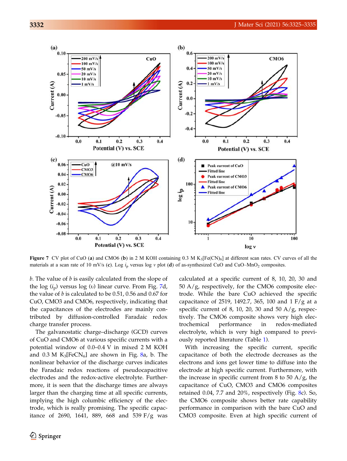<span id="page-7-0"></span>

Figure 7 CV plot of CuO (a) and CMO6 (b) in 2 M KOH containing 0.3 M  $K_3[Fe(CN)_6]$  at different scan rates. CV curves of all the materials at a scan rate of 10 mV/s (c). Log  $i<sub>p</sub>$  versus log v plot (d) of as-synthesized CuO and CuO–MnO<sub>2</sub> composites.

 $b$ . The value of  $b$  is easily calculated from the slope of the log  $(i_p)$  versus log (v) linear curve. From Fig. 7d, the value of  $b$  is calculated to be 0.51, 0.56 and 0.67 for CuO, CMO3 and CMO6, respectively, indicating that the capacitances of the electrodes are mainly contributed by diffusion-controlled Faradaic redox charge transfer process.

The galvanostatic charge–discharge (GCD) curves of CuO and CMO6 at various specific currents with a potential window of 0.0–0.4 V in mixed 2 M KOH and  $0.3$  M K<sub>3</sub>[FeCN<sub>6</sub>] are shown in Fig. [8a](#page-8-0), b. The nonlinear behavior of the discharge curves indicates the Faradaic redox reactions of pseudocapacitive electrodes and the redox-active electrolyte. Furthermore, it is seen that the discharge times are always larger than the charging time at all specific currents, implying the high columbic efficiency of the electrode, which is really promising. The specific capacitance of 2690, 1641, 889, 668 and 539 F/g was calculated at a specific current of 8, 10, 20, 30 and  $50 \text{ A/g}$ , respectively, for the CMO6 composite electrode. While the bare CuO achieved the specific capacitance of 2519, 1492.7, 365, 100 and 1 F/g at a specific current of 8, 10, 20, 30 and 50 A/g, respectively. The CMO6 composite shows very high electrochemical performance in redox-mediated electrolyte, which is very high compared to previously reported literature (Table [1\)](#page-8-0).

With increasing the specific current, specific capacitance of both the electrode decreases as the electrons and ions get lower time to diffuse into the electrode at high specific current. Furthermore, with the increase in specific current from 8 to 50  $A/g$ , the capacitance of CuO, CMO3 and CMO6 composites retained 0.04, 7.7 and  $20\%$ , respectively (Fig. [8](#page-8-0)c). So, the CMO6 composite shows better rate capability performance in comparison with the bare CuO and CMO3 composite. Even at high specific current of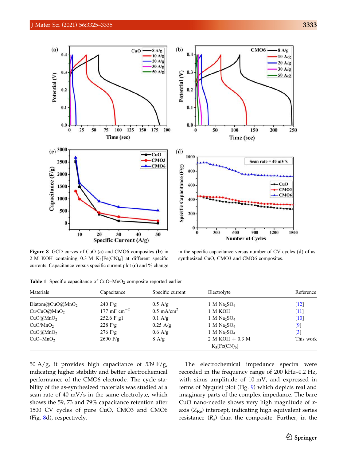<span id="page-8-0"></span>

Figure 8 GCD curves of CuO (a) and CMO6 composites (b) in 2 M KOH containing 0.3 M  $K_3[Fe(CN)_6]$  at different specific currents. Capacitance versus specific current plot (c) and % change

in the specific capacitance versus number of CV cycles (d) of assynthesized CuO, CMO3 and CMO6 composites.

Table 1 Specific capacitance of  $CuO-MnO<sub>2</sub>$  composite reported earlier

| Materials              | Capacitance       | Specific current      | Electrolyte                         | Reference          |
|------------------------|-------------------|-----------------------|-------------------------------------|--------------------|
| Diatom $@CuO@MnO2$     | $240 \text{ F/g}$ | $0.5$ A/g             | 1 M Na <sub>2</sub> SO <sub>4</sub> | $\lceil 12 \rceil$ |
| $Cu/CuO(\omega MnO_2)$ | 177 mF $cm^{-2}$  | $0.5 \text{ mA/cm}^2$ | 1 M KOH                             | $\lceil 11 \rceil$ |
| CuO(a)MnO <sub>2</sub> | 252.6 F g1        | $0.1 \text{ A/g}$     | 1 M $Na2SO4$                        | $\lceil 10 \rceil$ |
| CuO/MnO <sub>2</sub>   | 228 $F/g$         | $0.25 \text{ A/g}$    | 1 M $Na2SO4$                        | [9]                |
| CuO(a)MnO <sub>2</sub> | $276$ F/g         | $0.6$ A/g             | 1 M Na <sub>2</sub> SO <sub>4</sub> | $[3]$              |
| $CuO-MnO2$             | $2690$ F/g        | $8 \text{ A/g}$       | $2 M KOH + 0.3 M$                   | This work          |
|                        |                   |                       | $K_3[Fe(CN)_6]$                     |                    |

50 A/g, it provides high capacitance of 539 F/g, indicating higher stability and better electrochemical performance of the CMO6 electrode. The cycle stability of the as-synthesized materials was studied at a scan rate of 40 mV/s in the same electrolyte, which shows the 59, 73 and 79% capacitance retention after 1500 CV cycles of pure CuO, CMO3 and CMO6 (Fig. 8d), respectively.

The electrochemical impedance spectra were recorded in the frequency range of 200 kHz–0.2 Hz, with sinus amplitude of 10 mV, and expressed in terms of Nyquist plot (Fig. [9\)](#page-9-0) which depicts real and imaginary parts of the complex impedance. The bare CuO nano-needle shows very high magnitude of xaxis  $(Z_{\text{Re}})$  intercept, indicating high equivalent series resistance  $(R_s)$  than the composite. Further, in the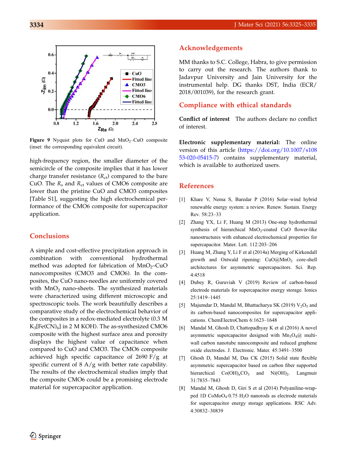<span id="page-9-0"></span>

Figure 9 Nyquist plots for CuO and  $MnO<sub>2</sub>$ –CuO composite (inset: the corresponding equivalent circuit).

high-frequency region, the smaller diameter of the semicircle of the composite implies that it has lower charge transfer resistance  $(R_{\rm ct})$  compared to the bare CuO. The  $R_s$  and  $R_{ct}$  values of CMO6 composite are lower than the pristine CuO and CMO3 composites [Table S1], suggesting the high electrochemical performance of the CMO6 composite for supercapacitor application.

# Conclusions

A simple and cost-effective precipitation approach in combination with conventional hydrothermal method was adopted for fabrication of  $MnO<sub>2</sub>$ –CuO nanocomposites (CMO3 and CMO6). In the composites, the CuO nano-needles are uniformly covered with  $MnO<sub>2</sub>$  nano-sheets. The synthesized materials were characterized using different microscopic and spectroscopic tools. The work beautifully describes a comparative study of the electrochemical behavior of the composites in a redox-mediated electrolyte (0.3 M  $K_3[Fe(CN)_6]$  in 2 M KOH). The as-synthesized CMO6 composite with the highest surface area and porosity displays the highest value of capacitance when compared to CuO and CMO3. The CMO6 composite achieved high specific capacitance of 2690 F/g at specific current of  $8 \text{ A/g}$  with better rate capability. The results of the electrochemical studies imply that the composite CMO6 could be a promising electrode material for supercapacitor application.

# Acknowledgements

MM thanks to S.C. College, Habra, to give permission to carry out the research. The authors thank to Jadavpur University and Jain University for the instrumental help. DG thanks DST, India (ECR/ 2018/001039), for the research grant.

# Compliance with ethical standards

Conflict of interest The authors declare no conflict of interest.

Electronic supplementary material: The online version of this article ([https://doi.org/10.1007/s108](https://doi.org/10.1007/s10853-020-05415-7) [53-020-05415-7](https://doi.org/10.1007/s10853-020-05415-7)) contains supplementary material, which is available to authorized users.

### References

- [1] Khare V, Nema S, Baredar P (2016) Solar–wind hybrid renewable energy system: a review. Renew. Sustain. Energy Rev. 58:23–33
- [2] Zhang YX, Li F, Huang M (2013) One-step hydrothermal synthesis of hierarchical  $MnO<sub>2</sub>$ -coated CuO flower-like nanostructures with enhanced electrochemical properties for supercapacitor. Mater. Lett. 112:203–206
- [3] Huang M, Zhang Y, Li F et al (2014a) Merging of Kirkendall growth and Ostwald ripening: CuO@MnO2 core-shell architectures for asymmetric supercapacitors. Sci. Rep. 4:4518
- [4] Dubey R, Guruviah V (2019) Review of carbon-based electrode materials for supercapacitor energy storage. Ionics 25:1419–1445
- [5] Majumdar D, Mandal M, Bhattacharya SK (2019)  $V_2O_5$  and its carbon-based nanocomposites for supercapacitor applications. ChemElectroChem 6:1623–1648
- [6] Mandal M, Ghosh D, Chattopadhyay K et al (2016) A novel asymmetric supercapacitor designed with  $Mn_3O_4(a)$  multiwall carbon nanotube nanocomposite and reduced graphene oxide electrodes. J. Electronic. Mater. 45:3491–3500
- [7] Ghosh D, Mandal M, Das CK (2015) Solid state flexible asymmetric supercapacitor based on carbon fiber supported hierarchical  $Co(OH)_xCO_3$  and  $Ni(OH)_2$ . Langmuir 31:7835–7843
- [8] Mandal M, Ghosh D, Giri S et al (2014) Polyaniline-wrapped 1D CoMoO4-0.75 H2O nanorods as electrode materials for supercapacitor energy storage applications. RSC Adv. 4:30832–30839